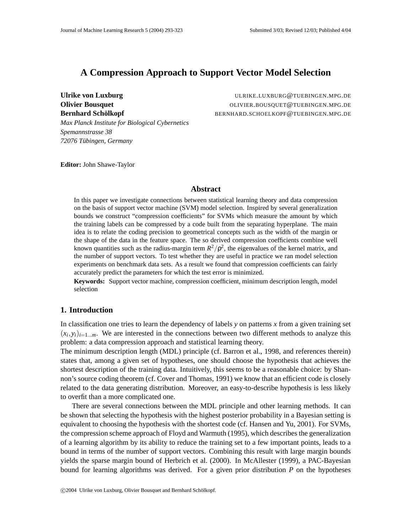# **A Compression Approach to Support Vector Model Selection**

*Max Planck Institute for Biological Cybernetics*

**Ulrike von Luxburg** ULRIKE.LUXBURG@TUEBINGEN.MPG.DE **Olivier Bousquet COLIVIER.BOUSQUET@TUEBINGEN.MPG.DE Bernhard Schölkopf** BERNHARD.SCHOELKOPF@TUEBINGEN.MPG.DE

**Editor:** John Shawe-Taylor

*72076 Tubing ¨ en, Germany*

*Spemannstrasse 38*

## **Abstract**

In this paper we investigate connections between statistical learning theory and data compression on the basis of support vector machine (SVM) model selection. Inspired by several generalization bounds we construct "compression coefficients" for SVMs which measure the amount by which the training labels can be compressed by a code built from the separating hyperplane. The main idea is to relate the coding precision to geometrical concepts such as the width of the margin or the shape of the data in the feature space. The so derived compression coefficients combine well known quantities such as the radius-margin term  $R^2/\rho^2$ , the eigenvalues of the kernel matrix, and the number of support vectors. To test whether they are useful in practice we ran model selection experiments on benchmark data sets. As a result we found that compression coefficients can fairly accurately predict the parameters for which the test error is minimized.

**Keywords:** Support vector machine, compression coefficient, minimum description length, model selection

## **1. Introduction**

In classification one tries to learn the dependency of labels *y* on patterns *x* from a given training set  $(x_i, y_i)_{i=1...m}$ . We are interested in the connections between two different methods to analyze this problem: a data compression approach and statistical learning theory.

The minimum description length (MDL) principle (cf. Barron et al., 1998, and references therein) states that, among a given set of hypotheses, one should choose the hypothesis that achieves the shortest description of the training data. Intuitively, this seems to be a reasonable choice: by Shannon's source coding theorem (cf. Cover and Thomas, 1991) we know that an efficient code is closely related to the data generating distribution. Moreover, an easy-to-describe hypothesis is less likely to overfit than a more complicated one.

There are several connections between the MDL principle and other learning methods. It can be shown that selecting the hypothesis with the highest posterior probability in a Bayesian setting is equivalent to choosing the hypothesis with the shortest code (cf. Hansen and Yu, 2001). For SVMs, the compression scheme approach of Floyd and Warmuth (1995), which describes the generalization of a learning algorithm by its ability to reduce the training set to a few important points, leads to a bound in terms of the number of support vectors. Combining this result with large margin bounds yields the sparse margin bound of Herbrich et al. (2000). In McAllester (1999), a PAC-Bayesian bound for learning algorithms was derived. For a given prior distribution *P* on the hypotheses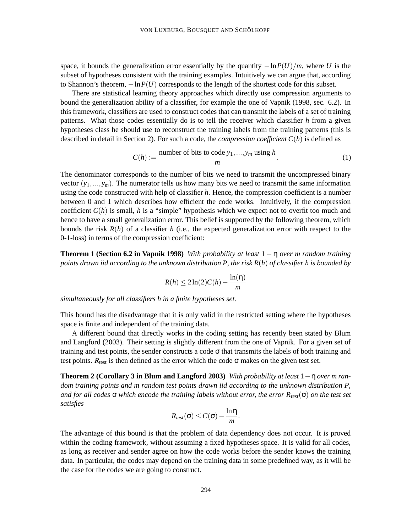space, it bounds the generalization error essentially by the quantity  $-\ln P(U)/m$ , where *U* is the subset of hypotheses consistent with the training examples. Intuitively we can argue that, according to Shannon's theorem,  $-\ln P(U)$  corresponds to the length of the shortest code for this subset.

There are statistical learning theory approaches which directly use compression arguments to bound the generalization ability of a classifier, for example the one of Vapnik (1998, sec. 6.2). In this framework, classifiers are used to construct codes that can transmit the labels of a set of training patterns. What those codes essentially do is to tell the receiver which classifier *h* from a given hypotheses class he should use to reconstruct the training labels from the training patterns (this is described in detail in Section 2). For such a code, the *compression coefficient C*(*h*) is defined as

$$
C(h) := \frac{\text{number of bits to code } y_1, \dots, y_m \text{ using } h}{m}.
$$
 (1)

The denominator corresponds to the number of bits we need to transmit the uncompressed binary vector  $(y_1,..., y_m)$ . The numerator tells us how many bits we need to transmit the same information using the code constructed with help of classifier *h*. Hence, the compression coefficient is a number between 0 and 1 which describes how efficient the code works. Intuitively, if the compression coefficient  $C(h)$  is small, h is a "simple" hypothesis which we expect not to overfit too much and hence to have a small generalization error. This belief is supported by the following theorem, which bounds the risk  $R(h)$  of a classifier h (i.e., the expected generalization error with respect to the 0-1-loss) in terms of the compression coefficient:

**Theorem 1 (Section 6.2 in Vapnik 1998)** With probability at least  $1 - \eta$  over *m* random training points drawn iid according to the unknown distribution P, the risk  $R(h)$  of classifier h is bounded by

$$
R(h) \le 2\ln(2)C(h) - \frac{\ln(\eta)}{m}
$$

*simultaneously for all classifiers h in a finite hypotheses set.*

This bound has the disadvantage that it is only valid in the restricted setting where the hypotheses space is finite and independent of the training data.

A different bound that directly works in the coding setting has recently been stated by Blum and Langford (2003). Their setting is slightly different from the one of Vapnik. For a given set of training and test points, the sender constructs a code  $\sigma$  that transmits the labels of both training and test points.  $R_{\text{test}}$  is then defined as the error which the code  $\sigma$  makes on the given test set.

**Theorem 2 (Corollary 3 in Blum and Langford 2003)** *With probability at least* 1−η *over m random training points and m random test points drawn iid according to the unknown distribution P,* and for all codes  $\sigma$  which encode the training labels without error, the error  $R_{test}(\sigma)$  on the test set *satisfies*

$$
R_{test}(\sigma) \leq C(\sigma) - \frac{\ln \eta}{m}.
$$

The advantage of this bound is that the problem of data dependency does not occur. It is proved within the coding framework, without assuming a fixed hypotheses space. It is valid for all codes, as long as receiver and sender agree on how the code works before the sender knows the training data. In particular, the codes may depend on the training data in some predefined way, as it will be the case for the codes we are going to construct.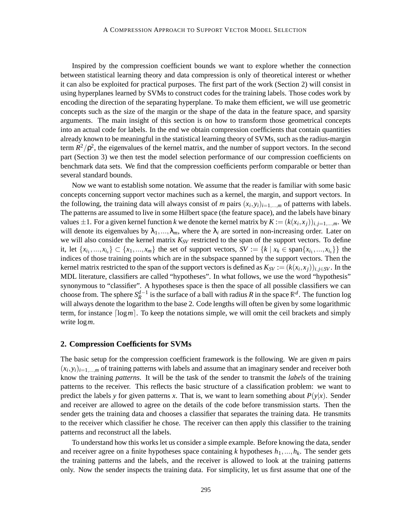Inspired by the compression coefficient bounds we want to explore whether the connection between statistical learning theory and data compression is only of theoretical interest or whether it can also be exploited for practical purposes. The first part of the work (Section 2) will consist in using hyperplanes learned by SVMs to construct codes for the training labels. Those codes work by encoding the direction of the separating hyperplane. To make them efficient, we will use geometric concepts such as the size of the margin or the shape of the data in the feature space, and sparsity arguments. The main insight of this section is on how to transform those geometrical concepts into an actual code for labels. In the end we obtain compression coefficients that contain quantities already known to be meaningful in the statistical learning theory of SVMs, such as the radius-margin term  $R^2/\rho^2$ , the eigenvalues of the kernel matrix, and the number of support vectors. In the second part (Section 3) we then test the model selection performance of our compression coefficients on benchmark data sets. We find that the compression coefficients perform comparable or better than several standard bounds.

Now we want to establish some notation. We assume that the reader is familiar with some basic concepts concerning support vector machines such as a kernel, the margin, and support vectors. In the following, the training data will always consist of *m* pairs  $(x_i, y_i)_{i=1,\dots,m}$  of patterns with labels. The patterns are assumed to live in some Hilbert space (the feature space), and the labels have binary values  $\pm 1$ . For a given kernel function *k* we denote the kernel matrix by  $K := (k(x_i, x_j))_{i,j=1,\dots,m}$ . We will denote its eigenvalues by  $\lambda_1, ..., \lambda_m$ , where the  $\lambda_i$  are sorted in non-increasing order. Later on we will also consider the kernel matrix  $K_{SV}$  restricted to the span of the support vectors. To define it, let  $\{x_{i_1},...,x_{i_s}\}\subset \{x_1,...,x_m\}$  the set of support vectors,  $SV := \{k \mid x_k \in \text{span}\{x_{i_1},...,x_{i_s}\}\}\$  the indices of those training points which are in the subspace spanned by the support vectors. Then the kernel matrix restricted to the span of the support vectors is defined as  $K_{SV} := (k(x_i, x_j))_{i,j \in SV}$ . In the MDL literature, classifiers are called "hypotheses". In what follows, we use the word "hypothesis" synonymous to "classifier". A hypotheses space is then the space of all possible classifiers we can choose from. The sphere  $S_R^{d-1}$  is the surface of a ball with radius *R* in the space  $\mathbb{R}^d$ . The function log will always denote the logarithm to the base 2. Code lengths will often be given by some logarithmic term, for instance  $\lceil \log m \rceil$ . To keep the notations simple, we will omit the ceil brackets and simply write log*m*.

#### **2. Compression Coefficients for SVMs**

The basic setup for the compression coefficient framework is the following. We are given *m* pairs  $(x_i, y_i)_{i=1,\dots,m}$  of training patterns with labels and assume that an imaginary sender and receiver both know the training *patterns*. It will be the task of the sender to transmit the *labels* of the training patterns to the receiver. This reflects the basic structure of a classification problem: we want to predict the labels *y* for given patterns *x*. That is, we want to learn something about  $P(y|x)$ . Sender and receiver are allowed to agree on the details of the code before transmission starts. Then the sender gets the training data and chooses a classifier that separates the training data. He transmits to the receiver which classifier he chose. The receiver can then apply this classifier to the training patterns and reconstruct all the labels.

To understand how this works let us consider a simple example. Before knowing the data, sender and receiver agree on a finite hypotheses space containing *k* hypotheses  $h_1, \ldots, h_k$ . The sender gets the training patterns and the labels, and the receiver is allowed to look at the training patterns only. Now the sender inspects the training data. For simplicity, let us first assume that one of the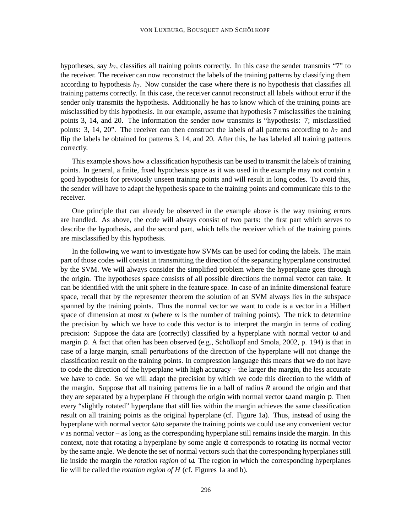hypotheses, say *h*7, classifies all training points correctly. In this case the sender transmits "7" to the receiver. The receiver can now reconstruct the labels of the training patterns by classifying them according to hypothesis *h*7. Now consider the case where there is no hypothesis that classifies all training patterns correctly. In this case, the receiver cannot reconstruct all labels without error if the sender only transmits the hypothesis. Additionally he has to know which of the training points are misclassified by this hypothesis. In our example, assume that hypothesis 7 misclassifies the training points 3, 14, and 20. The information the sender now transmits is "hypothesis: 7; misclassified points: 3, 14, 20". The receiver can then construct the labels of all patterns according to  $h_7$  and flip the labels he obtained for patterns 3, 14, and 20. After this, he has labeled all training patterns correctly.

This example shows how a classification hypothesis can be used to transmit the labels of training points. In general, a finite, fixed hypothesis space as it was used in the example may not contain a good hypothesis for previously unseen training points and will result in long codes. To avoid this, the sender will have to adapt the hypothesis space to the training points and communicate this to the receiver.

One principle that can already be observed in the example above is the way training errors are handled. As above, the code will always consist of two parts: the first part which serves to describe the hypothesis, and the second part, which tells the receiver which of the training points are misclassified by this hypothesis.

In the following we want to investigate how SVMs can be used for coding the labels. The main part of those codes will consist in transmitting the direction of the separating hyperplane constructed by the SVM. We will always consider the simplified problem where the hyperplane goes through the origin. The hypotheses space consists of all possible directions the normal vector can take. It can be identified with the unit sphere in the feature space. In case of an infinite dimensional feature space, recall that by the representer theorem the solution of an SVM always lies in the subspace spanned by the training points. Thus the normal vector we want to code is a vector in a Hilbert space of dimension at most *m* (where *m* is the number of training points). The trick to determine the precision by which we have to code this vector is to interpret the margin in terms of coding precision: Suppose the data are (correctly) classified by a hyperplane with normal vector  $\omega$  and margin ρ. A fact that often has been observed (e.g., Schölkopf and Smola, 2002, p. 194) is that in case of a large margin, small perturbations of the direction of the hyperplane will not change the classification result on the training points. In compression language this means that we do not have to code the direction of the hyperplane with high accuracy – the larger the margin, the less accurate we have to code. So we will adapt the precision by which we code this direction to the width of the margin. Suppose that all training patterns lie in a ball of radius *R* around the origin and that they are separated by a hyperplane *H* through the origin with normal vector ω and margin ρ. Then every "slightly rotated" hyperplane that still lies within the margin achieves the same classification result on all training points as the original hyperplane (cf. Figure 1a). Thus, instead of using the hyperplane with normal vector ω to separate the training points we could use any convenient vector *v* as normal vector – as long as the corresponding hyperplane still remains inside the margin. In this context, note that rotating a hyperplane by some angle  $\alpha$  corresponds to rotating its normal vector by the same angle. We denote the set of normal vectors such that the corresponding hyperplanes still lie inside the margin the *rotation region* of ω. The region in which the corresponding hyperplanes lie will be called the *rotation region of H* (cf. Figures 1a and b).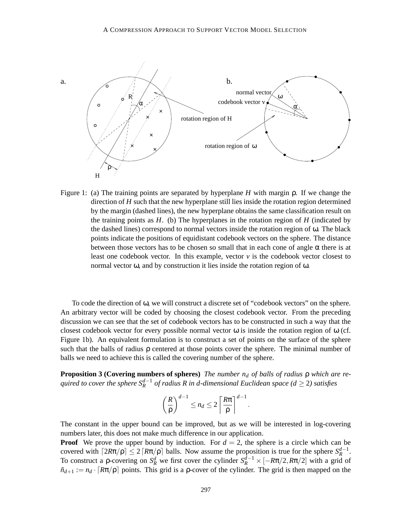

Figure 1: (a) The training points are separated by hyperplane *H* with margin ρ. If we change the direction of *H* such that the new hyperplane still lies inside the rotation region determined by the margin (dashed lines), the new hyperplane obtains the same classification result on the training points as  $H$ . (b) The hyperplanes in the rotation region of  $H$  (indicated by the dashed lines) correspond to normal vectors inside the rotation region of  $\omega$ . The black points indicate the positions of equidistant codebook vectors on the sphere. The distance between those vectors has to be chosen so small that in each cone of angle  $\alpha$  there is at least one codebook vector. In this example, vector  $\nu$  is the codebook vector closest to normal vector ω, and by construction it lies inside the rotation region of ω.

To code the direction of ω, we will construct a discrete set of "codebook vectors" on the sphere. An arbitrary vector will be coded by choosing the closest codebook vector. From the preceding discussion we can see that the set of codebook vectors has to be constructed in such a way that the closest codebook vector for every possible normal vector  $\omega$  is inside the rotation region of  $\omega$  (cf. Figure 1b). An equivalent formulation is to construct a set of points on the surface of the sphere such that the balls of radius ρ centered at those points cover the sphere. The minimal number of balls we need to achieve this is called the covering number of the sphere.

**Proposition 3 (Covering numbers of spheres)** *The number n<sup>d</sup> of balls of radius* ρ *which are required to cover the sphere*  $S_R^{d-1}$  *of radius* R *in d-dimensional Euclidean space* ( $d \ge 2$ ) *satisfies* 

$$
\left(\frac{R}{\rho}\right)^{d-1} \leq n_d \leq 2\left\lceil \frac{R\pi}{\rho} \right\rceil^{d-1}.
$$

The constant in the upper bound can be improved, but as we will be interested in log-covering numbers later, this does not make much difference in our application.

**Proof** We prove the upper bound by induction. For  $d = 2$ , the sphere is a circle which can be covered with  $\lceil 2R\pi/\rho \rceil \leq 2 \lceil R\pi/\rho \rceil$  balls. Now assume the proposition is true for the sphere  $S_R^{d-1}$ . To construct a p-covering on  $S_R^d$  we first cover the cylinder  $S_R^{d-1} \times [-R\pi/2, R\pi/2]$  with a grid of  $\tilde{n}_{d+1} := n_d \cdot [R\pi/\rho]$  points. This grid is a p-cover of the cylinder. The grid is then mapped on the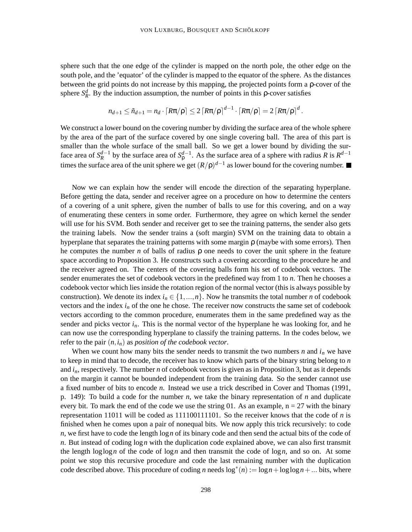sphere such that the one edge of the cylinder is mapped on the north pole, the other edge on the south pole, and the 'equator' of the cylinder is mapped to the equator of the sphere. As the distances between the grid points do not increase by this mapping, the projected points form a ρ-cover of the sphere  $S_R^d$ . By the induction assumption, the number of points in this *p*-cover satisfies

$$
n_{d+1} \leq \tilde{n}_{d+1} = n_d \cdot \lceil R\pi/\rho \rceil \leq 2 \lceil R\pi/\rho \rceil^{d-1} \cdot \lceil R\pi/\rho \rceil = 2 \lceil R\pi/\rho \rceil^d.
$$

We construct a lower bound on the covering number by dividing the surface area of the whole sphere by the area of the part of the surface covered by one single covering ball. The area of this part is smaller than the whole surface of the small ball. So we get a lower bound by dividing the surface area of  $S_R^{d-1}$  by the surface area of  $S_\rho^{d-1}$ . As the surface area of a sphere with radius *R* is  $R^{d-1}$ times the surface area of the unit sphere we get  $(R/p)^{d-1}$  as lower bound for the covering number.

Now we can explain how the sender will encode the direction of the separating hyperplane. Before getting the data, sender and receiver agree on a procedure on how to determine the centers of a covering of a unit sphere, given the number of balls to use for this covering, and on a way of enumerating these centers in some order. Furthermore, they agree on which kernel the sender will use for his SVM. Both sender and receiver get to see the training patterns, the sender also gets the training labels. Now the sender trains a (soft margin) SVM on the training data to obtain a hyperplane that separates the training patterns with some margin  $\rho$  (maybe with some errors). Then he computes the number *n* of balls of radius  $\rho$  one needs to cover the unit sphere in the feature space according to Proposition 3. He constructs such a covering according to the procedure he and the receiver agreed on. The centers of the covering balls form his set of codebook vectors. The sender enumerates the set of codebook vectors in the predefined way from 1 to *n*. Then he chooses a codebook vector which lies inside the rotation region of the normal vector (this is always possible by construction). We denote its index  $i_n \in \{1, ..., n\}$ . Now he transmits the total number *n* of codebook vectors and the index  $i<sub>n</sub>$  of the one he chose. The receiver now constructs the same set of codebook vectors according to the common procedure, enumerates them in the same predefined way as the sender and picks vector  $i<sub>n</sub>$ . This is the normal vector of the hyperplane he was looking for, and he can now use the corresponding hyperplane to classify the training patterns. In the codes below, we refer to the pair  $(n, i_n)$  as *position* of the *codebook vector*.

When we count how many bits the sender needs to transmit the two numbers *n* and  $i<sub>n</sub>$  we have to keep in mind that to decode, the receiver has to know which parts of the binary string belong to *n* and *in*, respectively. The number *n* of codebook vectors is given as in Proposition 3, but as it depends on the margin it cannot be bounded independent from the training data. So the sender cannot use a fixed number of bits to encode *n*. Instead we use a trick described in Cover and Thomas (1991, p. 149): To build a code for the number *n*, we take the binary representation of *n* and duplicate every bit. To mark the end of the code we use the string 01. As an example,  $n = 27$  with the binary representation 11011 will be coded as 111100111101. So the receiver knows that the code of *n* is finished when he comes upon a pair of nonequal bits. We now apply this trick recursively: to code *n*, we first have to code the length log*n* of its binary code and then send the actual bits of the code of *n*. But instead of coding log*n* with the duplication code explained above, we can also first transmit the length  $\log \log n$  of the code of  $\log n$  and then transmit the code of  $\log n$ , and so on. At some point we stop this recursive procedure and code the last remaining number with the duplication code described above. This procedure of coding *n* needs  $\log^*(n) := \log n + \log \log n + ...$  bits, where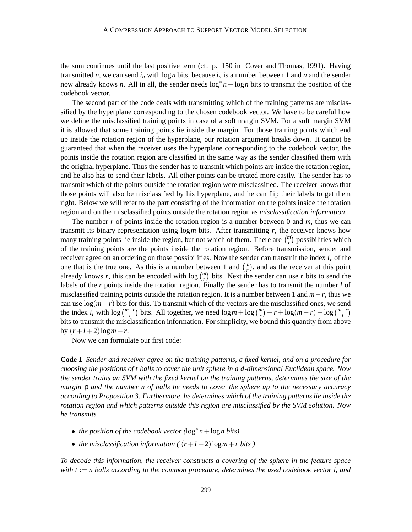the sum continues until the last positive term (cf. p. 150 in Cover and Thomas, 1991). Having transmitted *n*, we can send  $i<sub>n</sub>$  with log *n* bits, because  $i<sub>n</sub>$  is a number between 1 and *n* and the sender now already knows *n*. All in all, the sender needs log∗ *n*+log*n* bits to transmit the position of the codebook vector.

The second part of the code deals with transmitting which of the training patterns are misclassified by the hyperplane corresponding to the chosen codebook vector. We have to be careful how we define the misclassified training points in case of a soft margin SVM. For a soft margin SVM it is allowed that some training points lie inside the margin. For those training points which end up inside the rotation region of the hyperplane, our rotation argument breaks down. It cannot be guaranteed that when the receiver uses the hyperplane corresponding to the codebook vector, the points inside the rotation region are classified in the same way as the sender classified them with the original hyperplane. Thus the sender has to transmit which points are inside the rotation region, and he also has to send their labels. All other points can be treated more easily. The sender has to transmit which of the points outside the rotation region were misclassified. The receiver knows that those points will also be misclassified by his hyperplane, and he can flip their labels to get them right. Below we will refer to the part consisting of the information on the points inside the rotation region and on the misclassified points outside the rotation region as *misclassification information*.

The number *r* of points inside the rotation region is a number between 0 and *m*, thus we can transmit its binary representation using log*m* bits. After transmitting *r*, the receiver knows how many training points lie inside the region, but not which of them. There are  $\binom{m}{r}$  possibilities which of the training points are the points inside the rotation region. Before transmission, sender and receiver agree on an ordering on those possibilities. Now the sender can transmit the index  $i<sub>r</sub>$  of the one that is the true one. As this is a number between 1 and  $\binom{m}{r}$ , and as the receiver at this point already knows *r*, this can be encoded with  $\log {m \choose r}$  bits. Next the sender can use *r* bits to send the labels of the *r* points inside the rotation region. Finally the sender has to transmit the number *l* of misclassified training points outside the rotation region. It is a number between 1 and *m*−*r*, thus we can use  $log(m-r)$  bits for this. To transmit which of the vectors are the misclassified ones, we send the index  $i_l$  with  $\log {m-r \choose l}$  bits. All together, we need  $\log m + \log {m \choose r} + r + \log(m-r) + \log {m-r \choose l}$ bits to transmit the misclassification information. For simplicity, we bound this quantity from above by  $(r+l+2)\log m+r$ .

Now we can formulate our first code:

**Code 1** *Sender and receiver agree on the training patterns, a fixed kernel, and on a procedure for choosing the positions of t balls to cover the unit sphere in a d-dimensional Euclidean space. Now* the sender trains an SVM with the fixed kernel on the training patterns, determines the size of the *margin* ρ *and the number n of balls he needs to cover the sphere up to the necessary accuracy according to Proposition 3. Furthermore, he determines which of the training patterns lie inside the rotation region and which patterns outside this region are misclassified by the SVM solution. Now he transmits*

- *the position of the codebook vector (*log<sup>∗</sup> *n*+log*n bits)*
- *the misclassification information*  $((r+l+2)\log m + r \text{ bits})$

*To decode this information, the receiver constructs a covering of the sphere in the feature space with t* := *n balls according to the common procedure, determines the used codebook vector i, and*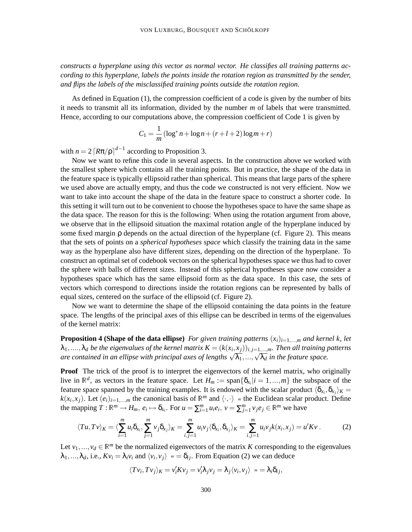*constructs a hyperplane using this vector as normal vector. He classifies all training patterns according to this hyperplane, labels the points inside the rotation region as transmitted by the sender, and flips the labels of the misclassified training points outside the rotation region.*

As defined in Equation (1), the compression coefficient of a code is given by the number of bits it needs to transmit all its information, divided by the number *m* of labels that were transmitted. Hence, according to our computations above, the compression coefficient of Code 1 is given by

$$
C_1 = \frac{1}{m} (\log^* n + \log n + (r + l + 2) \log m + r)
$$

with  $n = 2 \left[ R \pi / \rho \right]^{d-1}$  according to Proposition 3.

Now we want to refine this code in several aspects. In the construction above we worked with the smallest sphere which contains all the training points. But in practice, the shape of the data in the feature space is typically ellipsoid rather than spherical. This means that large parts of the sphere we used above are actually empty, and thus the code we constructed is not very efficient. Now we want to take into account the shape of the data in the feature space to construct a shorter code. In this setting it will turn out to be convenient to choose the hypotheses space to have the same shape as the data space. The reason for this is the following: When using the rotation argument from above, we observe that in the ellipsoid situation the maximal rotation angle of the hyperplane induced by some fixed margin ρ depends on the actual direction of the hyperplane (cf. Figure 2). This means that the sets of points on a *spherical hypotheses space* which classify the training data in the same way as the hyperplane also have different sizes, depending on the direction of the hyperplane. To construct an optimal set of codebook vectors on the spherical hypotheses space we thus had to cover the sphere with balls of different sizes. Instead of this spherical hypotheses space now consider a hypotheses space which has the same ellipsoid form as the data space. In this case, the sets of vectors which correspond to directions inside the rotation regions can be represented by balls of equal sizes, centered on the surface of the ellipsoid (cf. Figure 2).

Now we want to determine the shape of the ellipsoid containing the data points in the feature space. The lengths of the principal axes of this ellipse can be described in terms of the eigenvalues of the kernel matrix:

**Proposition 4 (Shape of the data ellipse)** For given training patterns  $(x_i)_{i=1,...,m}$  and kernel k, let  $\lambda_1,....,\lambda_d$  be the eigenvalues of the kernel matrix  $K=(k(x_i,x_j))_{i,j=1,...,m}$ . Then all training patterns  $\alpha$  *are contained in an ellipse with principal axes of lengths*  $\sqrt{\lambda_1},...,\sqrt{\lambda_d}$  *in the feature space.* 

**Proof** The trick of the proof is to interpret the eigenvectors of the kernel matrix, who originally live in  $\mathbb{R}^d$ , as vectors in the feature space. Let  $H_m := \text{span}\{\delta_{x_i} | i = 1, ..., m\}$  the subspace of the feature space spanned by the training examples. It is endowed with the scalar product  $\langle \delta_{x_i}, \delta_{x_j} \rangle_K =$  $k(x_i, x_j)$ . Let  $(e_i)_{i=1,\dots,m}$  the canonical basis of  $\mathbb{R}^m$  and  $\langle \cdot, \cdot \rangle$  m the Euclidean scalar product. Define the mapping  $T : \mathbb{R}^m \to H_m$ ,  $e_i \mapsto \delta_{x_i}$ . For  $u = \sum_{i=1}^m u_i e_i$ ,  $v = \sum_{j=1}^m v_j e_j \in \mathbb{R}^m$  we have

$$
\langle Tu, Tv \rangle_K = \langle \sum_{i=1}^m u_i \delta_{x_i}, \sum_{j=1}^m v_j \delta_{x_j} \rangle_K = \sum_{i,j=1}^m u_i v_j \langle \delta_{x_i}, \delta_{x_j} \rangle_K = \sum_{i,j=1}^m u_i v_j k(x_i, x_j) = u' K v. \tag{2}
$$

Let  $v_1, ..., v_d \in \mathbb{R}^m$  be the normalized eigenvectors of the matrix *K* corresponding to the eigenvalues  $\lambda_1, ..., \lambda_d$ , i.e.,  $Kv_i = \lambda_i v_i$  and  $\langle v_i, v_j \rangle$   $m = \delta_{ij}$ . From Equation (2) we can deduce

$$
\langle Tv_i, Tv_j \rangle_K = v_i'Kv_j = v_i' \lambda_j v_j = \lambda_j \langle v_i, v_j \rangle_m = \lambda_i \delta_{ij},
$$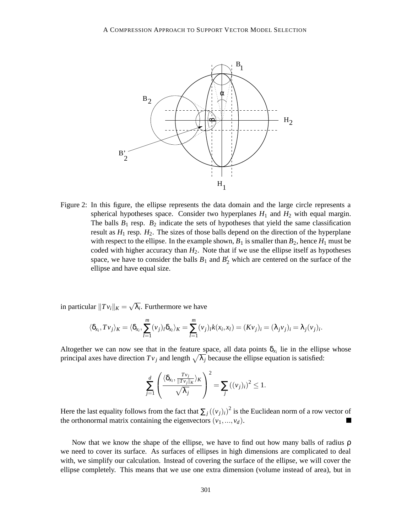

Figure 2: In this figure, the ellipse represents the data domain and the large circle represents a spherical hypotheses space. Consider two hyperplanes  $H_1$  and  $H_2$  with equal margin. The balls  $B_1$  resp.  $B_2$  indicate the sets of hypotheses that yield the same classification result as  $H_1$  resp.  $H_2$ . The sizes of those balls depend on the direction of the hyperplane with respect to the ellipse. In the example shown,  $B_1$  is smaller than  $B_2$ , hence  $H_1$  must be coded with higher accuracy than  $H_2$ . Note that if we use the ellipse itself as hypotheses space, we have to consider the balls  $B_1$  and  $B_2'$  which are centered on the surface of the ellipse and have equal size.

in particular  $||Tv_i||_K = \sqrt{\lambda_i}$ . Furthermore we have

$$
\langle \delta_{x_i}, T v_j \rangle_K = \langle \delta_{x_i}, \sum_{l=1}^m (v_j)_l \delta_{x_l} \rangle_K = \sum_{l=1}^m (v_j)_l k(x_i, x_l) = (Kv_j)_i = (\lambda_j v_j)_i = \lambda_j(v_j)_i.
$$

Altogether we can now see that in the feature space, all data points  $\delta_{x_i}$  lie in the ellipse whose principal axes have direction  $Tv_j$  and length  $\sqrt{\lambda_j}$  because the ellipse equation is satisfied:

$$
\sum_{j=1}^d \left( \frac{\langle \delta_{x_i}, \frac{Tv_j}{\|Tv_j\|_K} \rangle_K}{\sqrt{\lambda_j}} \right)^2 = \sum_j ((v_j)_i)^2 \le 1.
$$

Here the last equality follows from the fact that  $\sum_j ((v_j)_i)^2$  is the Euclidean norm of a row vector of the orthonormal matrix containing the eigenvectors  $(v_1, ..., v_d)$ . Г

Now that we know the shape of the ellipse, we have to find out how many balls of radius  $\rho$ we need to cover its surface. As surfaces of ellipses in high dimensions are complicated to deal with, we simplify our calculation. Instead of covering the surface of the ellipse, we will cover the ellipse completely. This means that we use one extra dimension (volume instead of area), but in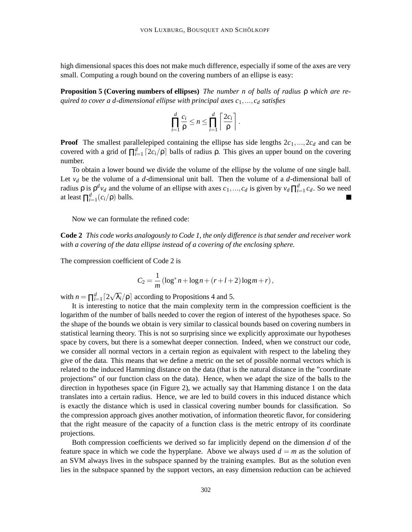high dimensional spaces this does not make much difference, especially if some of the axes are very small. Computing a rough bound on the covering numbers of an ellipse is easy:

**Proposition 5 (Covering numbers of ellipses)** *The number n of balls of radius* ρ *which are required to cover a d-dimensional ellipse with principal axes c*1,..., *c<sup>d</sup> satisfies*

$$
\prod_{i=1}^d \frac{c_i}{\rho} \leq n \leq \prod_{i=1}^d \left\lceil \frac{2c_i}{\rho} \right\rceil.
$$

**Proof** The smallest parallelepiped containing the ellipse has side lengths  $2c_1, ..., 2c_d$  and can be covered with a grid of  $\prod_{i=1}^{d} [2c_i/\rho]$  balls of radius  $\rho$ . This gives an upper bound on the covering number.

To obtain a lower bound we divide the volume of the ellipse by the volume of one single ball. Let  $v_d$  be the volume of a *d*-dimensional unit ball. Then the volume of a *d*-dimensional ball of *radius*  $ρ$  is  $ρ<sup>d</sup>ν<sub>d</sub>$  and the volume of an ellipse with axes  $c_1, ..., c_d$  is given by  $ν<sub>d</sub> ∏_{i=1}^d c_d$ . So we need at least  $\prod_{i=1}^{d} (c_i/\rho)$  balls.

Now we can formulate the refined code:

**Code 2** *This code works analogously to Code 1, the only difference is that sender and receiver work with a covering of the data ellipse instead of a covering of the enclosing sphere.*

The compression coefficient of Code 2 is

$$
C_2 = \frac{1}{m} (\log^* n + \log n + (r + l + 2) \log m + r),
$$

with  $n = \prod_{i=1}^{d} \left[ 2\sqrt{\lambda_i} / \rho \right]$  according to Propositions 4 and 5.

It is interesting to notice that the main complexity term in the compression coefficient is the logarithm of the number of balls needed to cover the region of interest of the hypotheses space. So the shape of the bounds we obtain is very similar to classical bounds based on covering numbers in statistical learning theory. This is not so surprising since we explicitly approximate our hypotheses space by covers, but there is a somewhat deeper connection. Indeed, when we construct our code, we consider all normal vectors in a certain region as equivalent with respect to the labeling they give of the data. This means that we define a metric on the set of possible normal vectors which is related to the induced Hamming distance on the data (that is the natural distance in the "coordinate projections" of our function class on the data). Hence, when we adapt the size of the balls to the direction in hypotheses space (in Figure 2), we actually say that Hamming distance 1 on the data translates into a certain radius. Hence, we are led to build covers in this induced distance which is exactly the distance which is used in classical covering number bounds for classification. So the compression approach gives another motivation, of information theoretic flavor, for considering that the right measure of the capacity of a function class is the metric entropy of its coordinate projections.

Both compression coefficients we derived so far implicitly depend on the dimension *d* of the feature space in which we code the hyperplane. Above we always used  $d = m$  as the solution of an SVM always lives in the subspace spanned by the training examples. But as the solution even lies in the subspace spanned by the support vectors, an easy dimension reduction can be achieved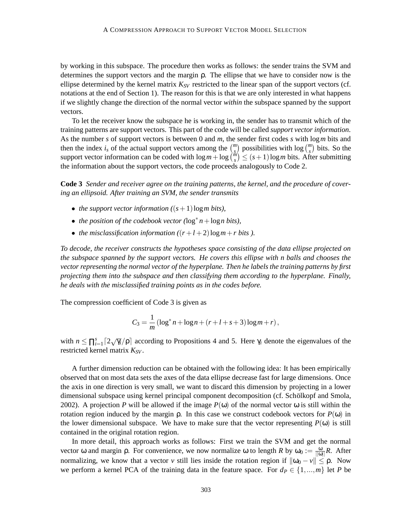by working in this subspace. The procedure then works as follows: the sender trains the SVM and determines the support vectors and the margin ρ. The ellipse that we have to consider now is the ellipse determined by the kernel matrix  $K_{SV}$  restricted to the linear span of the support vectors (cf. notations at the end of Section 1). The reason for this is that we are only interested in what happens if we slightly change the direction of the normal vector *within* the subspace spanned by the support vectors.

To let the receiver know the subspace he is working in, the sender has to transmit which of the training patterns are support vectors. This part of the code will be called *support vector information*. As the number *s* of support vectors is between 0 and *m*, the sender first codes *s* with log*m* bits and then the index *i<sub>s</sub>* of the actual support vectors among the  $\binom{m}{s}$  possibilities with log  $\binom{m}{s}$  bits. So the support vector information can be coded with  $\log m + \log {\binom{m}{s}} \leq (s+1) \log m$  bits. After submitting the information about the support vectors, the code proceeds analogously to Code 2.

**Code 3** *Sender and receiver agree on the training patterns, the kernel, and the procedure of covering an ellipsoid. After training an SVM, the sender transmits*

- *the support vector information*  $((s+1)\log m)$  *bits*),
- *the position of the codebook vector (*log<sup>∗</sup> *n*+log*n bits),*
- *the misclassification information*  $((r+l+2)\log m + r$  *bits* ).

*To decode, the receiver constructs the hypotheses space consisting of the data ellipse projected on the subspace spanned by the support vectors. He covers this ellipse with n balls and chooses the vector representing the normal vector of the hyperplane. Then he labels the training patterns by first projecting them into the subspace and then classifying them according to the hyperplane. Finally, he deals with the misclassified training points as in the codes before.*

The compression coefficient of Code 3 is given as

$$
C_3 = \frac{1}{m} (\log^* n + \log n + (r + l + s + 3) \log m + r),
$$

with  $n \leq \prod_{i=1}^{s} \lceil 2\sqrt{\gamma_i}/\rho \rceil$  according to Propositions 4 and 5. Here  $\gamma_i$  denote the eigenvalues of the restricted kernel matrix *KSV* .

A further dimension reduction can be obtained with the following idea: It has been empirically observed that on most data sets the axes of the data ellipse decrease fast for large dimensions. Once the axis in one direction is very small, we want to discard this dimension by projecting in a lower dimensional subspace using kernel principal component decomposition (cf. Schölkopf and Smola, 2002). A projection *P* will be allowed if the image  $P(\omega)$  of the normal vector  $\omega$  is still within the rotation region induced by the margin  $ρ$ . In this case we construct codebook vectors for  $P(ω)$  in the lower dimensional subspace. We have to make sure that the vector representing  $P(\omega)$  is still contained in the original rotation region.

In more detail, this approach works as follows: First we train the SVM and get the normal vector ω and margin *ρ*. For convenience, we now normalize ω to length *R* by  $ω_0 := \frac{ω}{\vert |ω|}R$ . After normalizing, we know that a vector *v* still lies inside the rotation region if  $\|\omega_0 - v\| \le \rho$ . Now we perform a kernel PCA of the training data in the feature space. For  $d_P \in \{1, ..., m\}$  let *P* be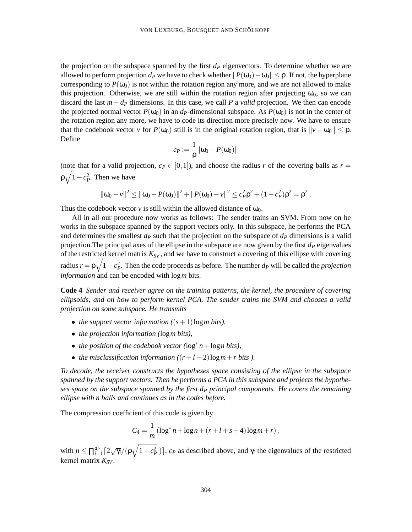the projection on the subspace spanned by the first  $d<sub>P</sub>$  eigenvectors. To determine whether we are allowed to perform projection  $d_P$  we have to check whether  $||P(\omega_0) - \omega_0|| \le \rho$ . If not, the hyperplane corresponding to  $P(\omega_0)$  is not within the rotation region any more, and we are not allowed to make this projection. Otherwise, we are still within the rotation region after projecting  $\omega_0$ , so we can discard the last *m*−*d<sup>P</sup>* dimensions. In this case, we call *P* a *valid* projection. We then can encode the projected normal vector  $P(\omega_0)$  in an  $d_P$ -dimensional subspace. As  $P(\omega_0)$  is not in the center of the rotation region any more, we have to code its direction more precisely now. We have to ensure that the codebook vector *v* for  $P(\omega_0)$  still is in the original rotation region, that is  $\|\nu - \omega_0\| \le \rho$ . Define

$$
c_P:=\frac{1}{\rho}\|\omega_0-P(\omega_0)\|
$$

(note that for a valid projection,  $c_P \in [0,1]$ ), and choose the radius *r* of the covering balls as  $r =$  $\rho \sqrt{1 - c_P^2}$ . Then we have

$$
\|\omega_0 - v\|^2 \le \|\omega_0 - P(\omega_0)\|^2 + \|P(\omega_0) - v\|^2 \le c_P^2 \rho^2 + (1 - c_P^2)\rho^2 = \rho^2.
$$

Thus the codebook vector *v* is still within the allowed distance of  $\omega_0$ .

All in all our procedure now works as follows: The sender trains an SVM. From now on he works in the subspace spanned by the support vectors only. In this subspace, he performs the PCA and determines the smallest  $d<sub>P</sub>$  such that the projection on the subspace of  $d<sub>P</sub>$  dimensions is a valid projection.The principal axes of the ellipse in the subspace are now given by the first *d<sup>P</sup>* eigenvalues of the restricted kernel matrix *KSV* , and we have to construct a covering of this ellipse with covering radius  $r = \rho \sqrt{1 - c_P^2}$ . Then the code proceeds as before. The number  $d_P$  will be called the *projection information* and can be encoded with log*m* bits.

**Code 4** *Sender and receiver agree on the training patterns, the kernel, the procedure of covering ellipsoids, and on how to perform kernel PCA. The sender trains the SVM and chooses a valid projection on some subspace. He transmits*

- *the support vector information*  $((s+1)\log m)$  *bits*),
- *the projection information (*log*m bits),*
- *the position of the codebook vector (*log<sup>∗</sup> *n*+log*n bits),*
- *the misclassification information*  $((r+l+2)\log m + r$  *bits* ).

*To decode, the receiver constructs the hypotheses space consisting of the ellipse in the subspace spanned by the support vectors. Then he performs a PCA in this subspace and projects the hypotheses space on the subspace spanned by the first d<sup>P</sup> principal components. He covers the remaining ellipse with n balls and continues as in the codes before.*

The compression coefficient of this code is given by

$$
C_4 = \frac{1}{m} (\log^* n + \log n + (r + l + s + 4) \log m + r),
$$

with  $n \le \prod_{i=1}^{d_P} \left[2\sqrt{\gamma_i}/(\rho\sqrt{1-c_P^2})\right]$ ,  $c_P$  as described above, and  $\gamma_i$  the eigenvalues of the restricted kernel matrix *KSV* .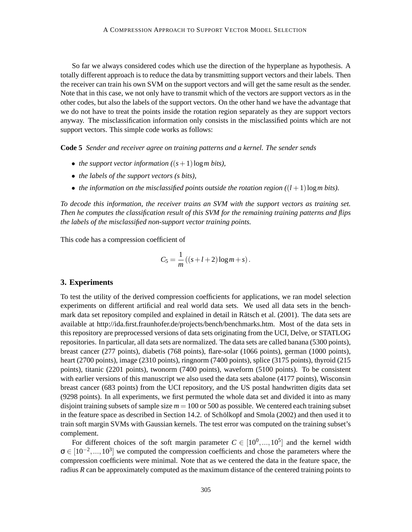So far we always considered codes which use the direction of the hyperplane as hypothesis. A totally different approach is to reduce the data by transmitting support vectors and their labels. Then the receiver can train his own SVM on the support vectors and will get the same result as the sender. Note that in this case, we not only have to transmit which of the vectors are support vectors as in the other codes, but also the labels of the support vectors. On the other hand we have the advantage that we do not have to treat the points inside the rotation region separately as they are support vectors anyway. The misclassification information only consists in the misclassified points which are not support vectors. This simple code works as follows:

**Code 5** *Sender and receiver agree on training patterns and a kernel. The sender sends*

- *the support vector information*  $((s+1)\log m)$  *bits*),
- *the labels of the support vectors (s bits),*
- *the information on the misclassified points outside the rotation region*  $((l + 1) \log m)$  *bits*).

*To decode this information, the receiver trains an SVM with the support vectors as training set. Then he computes the classification result of this SVM for the remaining training patterns and flips the labels of the misclassified non-support vector training points.*

This code has a compression coefficient of

$$
C_5 = \frac{1}{m} \left( \left( s + l + 2 \right) \log m + s \right).
$$

#### **3. Experiments**

To test the utility of the derived compression coefficients for applications, we ran model selection experiments on different artificial and real world data sets. We used all data sets in the benchmark data set repository compiled and explained in detail in Rätsch et al. (2001). The data sets are available at http://ida.first.fraunhofer.de/projects/bench/benchmarks.htm. Most of the data sets in this repository are preprocessed versions of data sets originating from the UCI, Delve, or STATLOG repositories. In particular, all data sets are normalized. The data sets are called banana (5300 points), breast cancer (277 points), diabetis (768 points), flare-solar (1066 points), german (1000 points), heart (2700 points), image (2310 points), ringnorm (7400 points), splice (3175 points), thyroid (215 points), titanic (2201 points), twonorm (7400 points), waveform (5100 points). To be consistent with earlier versions of this manuscript we also used the data sets abalone (4177 points), Wisconsin breast cancer (683 points) from the UCI repository, and the US postal handwritten digits data set (9298 points). In all experiments, we first permuted the whole data set and divided it into as many disjoint training subsets of sample size *m* = 100 or 500 as possible. We centered each training subset in the feature space as described in Section 14.2. of Schölkopf and Smola (2002) and then used it to train soft margin SVMs with Gaussian kernels. The test error was computed on the training subset's complement.

For different choices of the soft margin parameter  $C \in [10^0, ..., 10^5]$  and the kernel width  $\sigma \in [10^{-2}, ..., 10^{3}]$  we computed the compression coefficients and chose the parameters where the compression coefficients were minimal. Note that as we centered the data in the feature space, the radius *R* can be approximately computed as the maximum distance of the centered training points to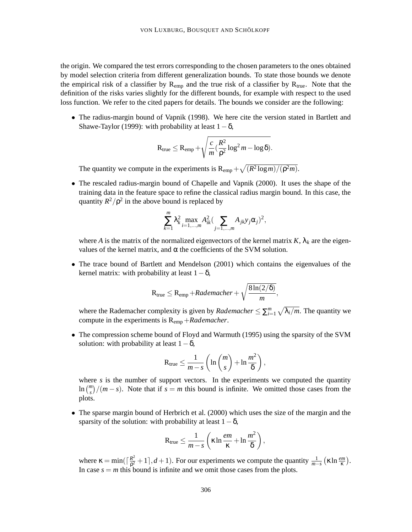the origin. We compared the test errors corresponding to the chosen parameters to the ones obtained by model selection criteria from different generalization bounds. To state those bounds we denote the empirical risk of a classifier by  $R_{emp}$  and the true risk of a classifier by  $R_{true}$ . Note that the definition of the risks varies slightly for the different bounds, for example with respect to the used loss function. We refer to the cited papers for details. The bounds we consider are the following:

• The radius-margin bound of Vapnik (1998). We here cite the version stated in Bartlett and Shawe-Taylor (1999): with probability at least  $1-\delta$ ,

$$
R_{true} \leq R_{emp} + \sqrt{\frac{c}{m} \left(\frac{R^2}{\rho^2} \log^2 m - \log \delta\right)}.
$$

The quantity we compute in the experiments is  $R_{emp} + \sqrt{(R^2 \log m)/(\rho^2 m)}$ .

• The rescaled radius-margin bound of Chapelle and Vapnik (2000). It uses the shape of the training data in the feature space to refine the classical radius margin bound. In this case, the quantity  $R^2/\rho^2$  in the above bound is replaced by

$$
\sum_{k=1}^{m} \lambda_k^2 \max_{i=1,\dots,m} A_{ik}^2 \big( \sum_{j=1,\dots,m} A_{jk} y_j \alpha_j \big)^2,
$$

where *A* is the matrix of the normalized eigenvectors of the kernel matrix  $K$ ,  $\lambda_k$  are the eigenvalues of the kernel matrix, and α the coefficients of the SVM solution.

• The trace bound of Bartlett and Mendelson (2001) which contains the eigenvalues of the kernel matrix: with probability at least  $1-\delta$ ,

$$
R_{true} \leq R_{emp} + Rademacher + \sqrt{\frac{8\ln(2/\delta)}{m}},
$$

where the Rademacher complexity is given by *Rademacher*  $\leq \sum_{i=1}^{m} \sqrt{\lambda_i/m}$ . The quantity we compute in the experiments is Remp +*Rademacher*.

• The compression scheme bound of Floyd and Warmuth (1995) using the sparsity of the SVM solution: with probability at least  $1-\delta$ ,

$$
R_{true} \leq \frac{1}{m-s} \left( \ln \binom{m}{s} + \ln \frac{m^2}{\delta} \right),
$$

where *s* is the number of support vectors. In the experiments we computed the quantity  $\ln{\binom{m}{s}}/(m-s)$ . Note that if  $s = m$  this bound is infinite. We omitted those cases from the plots.

• The sparse margin bound of Herbrich et al. (2000) which uses the size of the margin and the sparsity of the solution: with probability at least  $1-\delta$ ,

$$
R_{true} \leq \frac{1}{m-s} \left( \kappa \ln \frac{em}{\kappa} + \ln \frac{m^2}{\delta} \right),\,
$$

where  $\kappa = \min(\lceil \frac{R^2}{\rho^2} \rceil)$  $\frac{R^2}{R^2} + 1$ , *d* + 1). For our experiments we compute the quantity  $\frac{1}{m-s}$  ( $\kappa \ln \frac{em}{\kappa}$ ). In case  $s = m$  this bound is infinite and we omit those cases from the plots.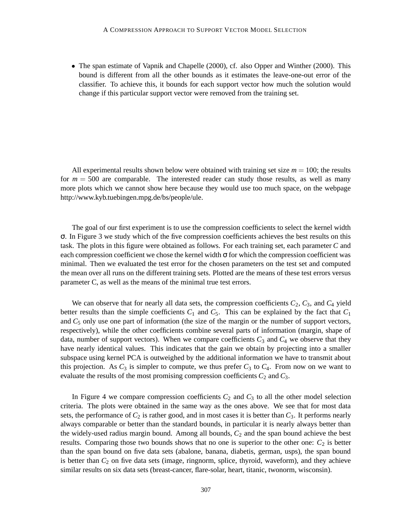• The span estimate of Vapnik and Chapelle (2000), cf. also Opper and Winther (2000). This bound is different from all the other bounds as it estimates the leave-one-out error of the classifier. To achieve this, it bounds for each support vector how much the solution would change if this particular support vector were removed from the training set.

All experimental results shown below were obtained with training set size  $m = 100$ ; the results for  $m = 500$  are comparable. The interested reader can study those results, as well as many more plots which we cannot show here because they would use too much space, on the webpage http://www.kyb.tuebingen.mpg.de/bs/people/ule.

The goal of our first experiment is to use the compression coefficients to select the kernel width σ. In Figure 3 we study which of the five compression coefficients achieves the best results on this task. The plots in this figure were obtained as follows. For each training set, each parameter *C* and each compression coefficient we chose the kernel width  $\sigma$  for which the compression coefficient was minimal. Then we evaluated the test error for the chosen parameters on the test set and computed the mean over all runs on the different training sets. Plotted are the means of these test errors versus parameter C, as well as the means of the minimal true test errors.

We can observe that for nearly all data sets, the compression coefficients  $C_2$ ,  $C_3$ , and  $C_4$  yield better results than the simple coefficients  $C_1$  and  $C_5$ . This can be explained by the fact that  $C_1$ and  $C_5$  only use one part of information (the size of the margin or the number of support vectors, respectively), while the other coefficients combine several parts of information (margin, shape of data, number of support vectors). When we compare coefficients  $C_3$  and  $C_4$  we observe that they have nearly identical values. This indicates that the gain we obtain by projecting into a smaller subspace using kernel PCA is outweighed by the additional information we have to transmit about this projection. As  $C_3$  is simpler to compute, we thus prefer  $C_3$  to  $C_4$ . From now on we want to evaluate the results of the most promising compression coefficients  $C_2$  and  $C_3$ .

In Figure 4 we compare compression coefficients  $C_2$  and  $C_3$  to all the other model selection criteria. The plots were obtained in the same way as the ones above. We see that for most data sets, the performance of  $C_2$  is rather good, and in most cases it is better than  $C_3$ . It performs nearly always comparable or better than the standard bounds, in particular it is nearly always better than the widely-used radius margin bound. Among all bounds,  $C_2$  and the span bound achieve the best results. Comparing those two bounds shows that no one is superior to the other one:  $C_2$  is better than the span bound on five data sets (abalone, banana, diabetis, german, usps), the span bound is better than  $C_2$  on five data sets (image, ringnorm, splice, thyroid, waveform), and they achieve similar results on six data sets (breast-cancer, flare-solar, heart, titanic, twonorm, wisconsin).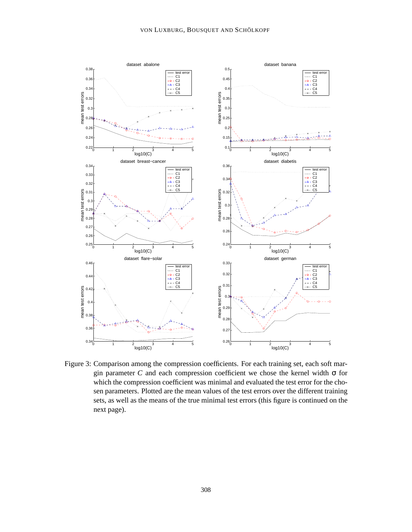

Figure 3: Comparison among the compression coefficients. For each training set, each soft margin parameter *C* and each compression coefficient we chose the kernel width  $\sigma$  for which the compression coefficient was minimal and evaluated the test error for the chosen parameters. Plotted are the mean values of the test errors over the different training sets, as well as the means of the true minimal test errors (this figure is continued on the next page).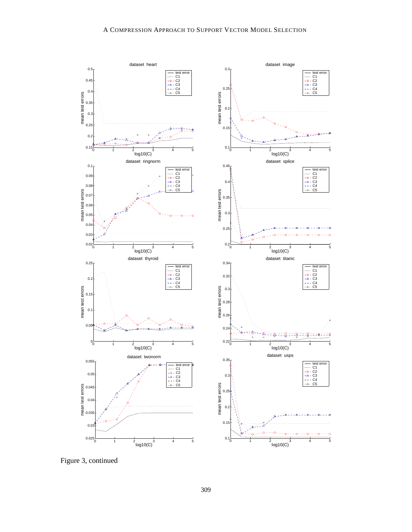

Figure 3, continued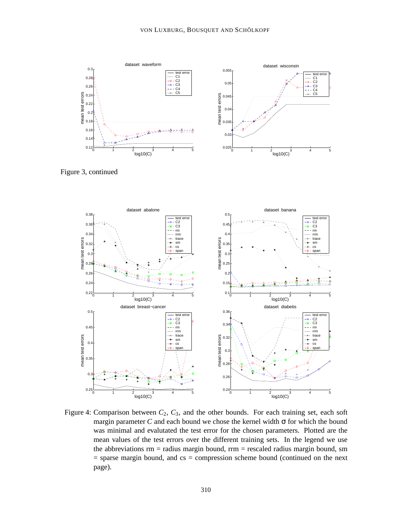

Figure 3, continued



Figure 4: Comparison between  $C_2$ ,  $C_3$ , and the other bounds. For each training set, each soft margin parameter *C* and each bound we chose the kernel width  $\sigma$  for which the bound was minimal and evalutated the test error for the chosen parameters. Plotted are the mean values of the test errors over the different training sets. In the legend we use the abbreviations  $rm = radius$  margin bound,  $rm = rescaled$  radius margin bound, sm  $=$  sparse margin bound, and  $cs =$  compression scheme bound (continued on the next page).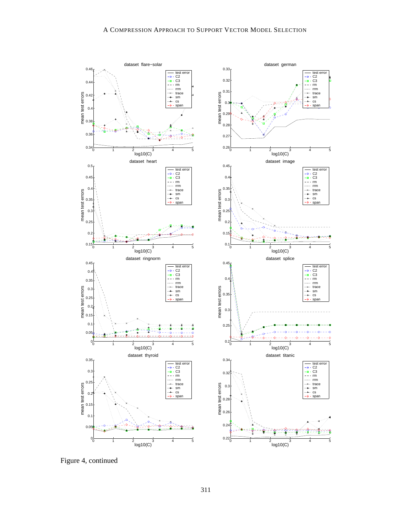

Ò

Figure 4, continued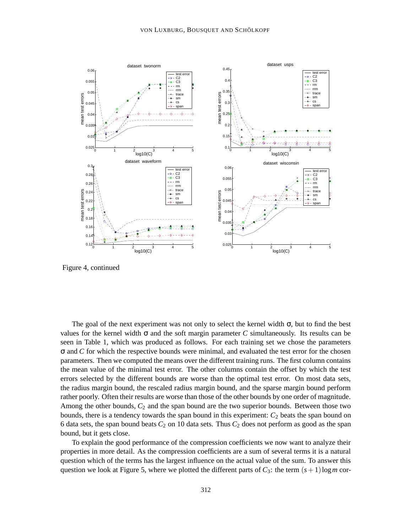

Figure 4, continued

The goal of the next experiment was not only to select the kernel width  $\sigma$ , but to find the best values for the kernel width  $\sigma$  and the soft margin parameter *C* simultaneously. Its results can be seen in Table 1, which was produced as follows. For each training set we chose the parameters σ and *C* for which the respective bounds were minimal, and evaluated the test error for the chosen parameters. Then we computed the means over the different training runs. The first column contains the mean value of the minimal test error. The other columns contain the offset by which the test errors selected by the different bounds are worse than the optimal test error. On most data sets, the radius margin bound, the rescaled radius margin bound, and the sparse margin bound perform rather poorly. Often their results are worse than those of the other bounds by one order of magnitude. Among the other bounds,  $C_2$  and the span bound are the two superior bounds. Between those two bounds, there is a tendency towards the span bound in this experiment:  $C_2$  beats the span bound on 6 data sets, the span bound beats  $C_2$  on 10 data sets. Thus  $C_2$  does not perform as good as the span bound, but it gets close.

To explain the good performance of the compression coefficients we now want to analyze their properties in more detail. As the compression coefficients are a sum of several terms it is a natural question which of the terms has the largest influence on the actual value of the sum. To answer this question we look at Figure 5, where we plotted the different parts of  $C_3$ : the term  $(s+1)$ log*m* cor-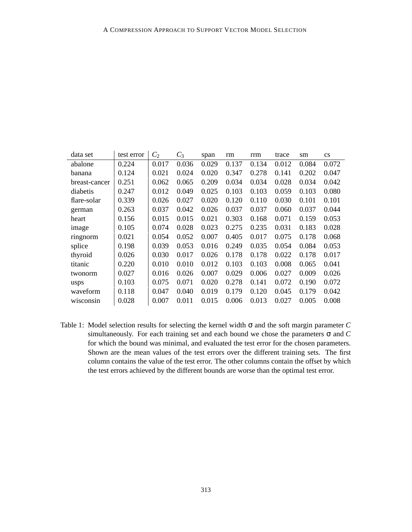| data set      | test error | $C_2$ | $C_3$ | span  | rm    | rrm   | trace | sm    | $\mathbf{c}\mathbf{s}$ |
|---------------|------------|-------|-------|-------|-------|-------|-------|-------|------------------------|
| abalone       | 0.224      | 0.017 | 0.036 | 0.029 | 0.137 | 0.134 | 0.012 | 0.084 | 0.072                  |
| banana        | 0.124      | 0.021 | 0.024 | 0.020 | 0.347 | 0.278 | 0.141 | 0.202 | 0.047                  |
| breast-cancer | 0.251      | 0.062 | 0.065 | 0.209 | 0.034 | 0.034 | 0.028 | 0.034 | 0.042                  |
| diabetis      | 0.247      | 0.012 | 0.049 | 0.025 | 0.103 | 0.103 | 0.059 | 0.103 | 0.080                  |
| flare-solar   | 0.339      | 0.026 | 0.027 | 0.020 | 0.120 | 0.110 | 0.030 | 0.101 | 0.101                  |
| german        | 0.263      | 0.037 | 0.042 | 0.026 | 0.037 | 0.037 | 0.060 | 0.037 | 0.044                  |
| heart         | 0.156      | 0.015 | 0.015 | 0.021 | 0.303 | 0.168 | 0.071 | 0.159 | 0.053                  |
| image         | 0.105      | 0.074 | 0.028 | 0.023 | 0.275 | 0.235 | 0.031 | 0.183 | 0.028                  |
| ringnorm      | 0.021      | 0.054 | 0.052 | 0.007 | 0.405 | 0.017 | 0.075 | 0.178 | 0.068                  |
| splice        | 0.198      | 0.039 | 0.053 | 0.016 | 0.249 | 0.035 | 0.054 | 0.084 | 0.053                  |
| thyroid       | 0.026      | 0.030 | 0.017 | 0.026 | 0.178 | 0.178 | 0.022 | 0.178 | 0.017                  |
| titanic       | 0.220      | 0.010 | 0.010 | 0.012 | 0.103 | 0.103 | 0.008 | 0.065 | 0.041                  |
| twonorm       | 0.027      | 0.016 | 0.026 | 0.007 | 0.029 | 0.006 | 0.027 | 0.009 | 0.026                  |
| usps          | 0.103      | 0.075 | 0.071 | 0.020 | 0.278 | 0.141 | 0.072 | 0.190 | 0.072                  |
| waveform      | 0.118      | 0.047 | 0.040 | 0.019 | 0.179 | 0.120 | 0.045 | 0.179 | 0.042                  |
| wisconsin     | 0.028      | 0.007 | 0.011 | 0.015 | 0.006 | 0.013 | 0.027 | 0.005 | 0.008                  |

Table 1: Model selection results for selecting the kernel width σ and the soft margin parameter *C* simultaneously. For each training set and each bound we chose the parameters σ and *C* for which the bound was minimal, and evaluated the test error for the chosen parameters. Shown are the mean values of the test errors over the different training sets. The first column contains the value of the test error. The other columns contain the offset by which the test errors achieved by the different bounds are worse than the optimal test error.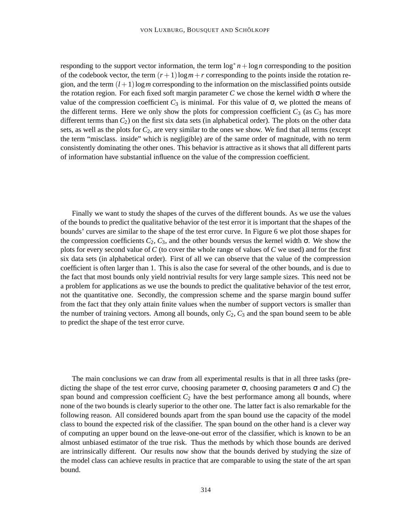responding to the support vector information, the term  $\log^* n + \log n$  corresponding to the position of the codebook vector, the term  $(r+1)\log m + r$  corresponding to the points inside the rotation region, and the term  $(l+1)\log m$  corresponding to the information on the misclassified points outside the rotation region. For each fixed soft margin parameter  $C$  we chose the kernel width  $\sigma$  where the value of the compression coefficient  $C_3$  is minimal. For this value of  $\sigma$ , we plotted the means of the different terms. Here we only show the plots for compression coefficient  $C_3$  (as  $C_3$  has more different terms than  $C_2$ ) on the first six data sets (in alphabetical order). The plots on the other data sets, as well as the plots for  $C_2$ , are very similar to the ones we show. We find that all terms (except the term "misclass. inside" which is negligible) are of the same order of magnitude, with no term consistently dominating the other ones. This behavior is attractive as it shows that all different parts of information have substantial influence on the value of the compression coefficient.

Finally we want to study the shapes of the curves of the different bounds. As we use the values of the bounds to predict the qualitative behavior of the test error it is important that the shapes of the bounds' curves are similar to the shape of the test error curve. In Figure 6 we plot those shapes for the compression coefficients  $C_2$ ,  $C_3$ , and the other bounds versus the kernel width  $\sigma$ . We show the plots for every second value of *C* (to cover the whole range of values of *C* we used) and for the first six data sets (in alphabetical order). First of all we can observe that the value of the compression coefficient is often larger than 1. This is also the case for several of the other bounds, and is due to the fact that most bounds only yield nontrivial results for very large sample sizes. This need not be a problem for applications as we use the bounds to predict the qualitative behavior of the test error, not the quantitative one. Secondly, the compression scheme and the sparse margin bound suffer from the fact that they only attain finite values when the number of support vectors is smaller than the number of training vectors. Among all bounds, only  $C_2$ ,  $C_3$  and the span bound seem to be able to predict the shape of the test error curve.

The main conclusions we can draw from all experimental results is that in all three tasks (predicting the shape of the test error curve, choosing parameter  $\sigma$ , choosing parameters  $\sigma$  and *C*) the span bound and compression coefficient  $C_2$  have the best performance among all bounds, where none of the two bounds is clearly superior to the other one. The latter fact is also remarkable for the following reason. All considered bounds apart from the span bound use the capacity of the model class to bound the expected risk of the classifier. The span bound on the other hand is a clever way of computing an upper bound on the leave-one-out error of the classifier, which is known to be an almost unbiased estimator of the true risk. Thus the methods by which those bounds are derived are intrinsically different. Our results now show that the bounds derived by studying the size of the model class can achieve results in practice that are comparable to using the state of the art span bound.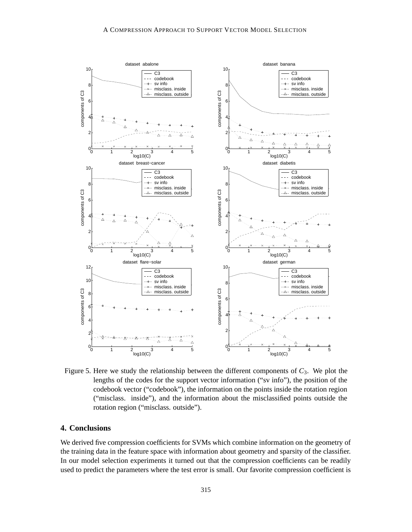

Figure 5. Here we study the relationship between the different components of  $C_3$ . We plot the lengths of the codes for the support vector information ("sv info"), the position of the codebook vector ("codebook"), the information on the points inside the rotation region ("misclass. inside"), and the information about the misclassified points outside the rotation region ("misclass. outside").

## **4. Conclusions**

We derived five compression coefficients for SVMs which combine information on the geometry of the training data in the feature space with information about geometry and sparsity of the classifier. In our model selection experiments it turned out that the compression coefficients can be readily used to predict the parameters where the test error is small. Our favorite compression coefficient is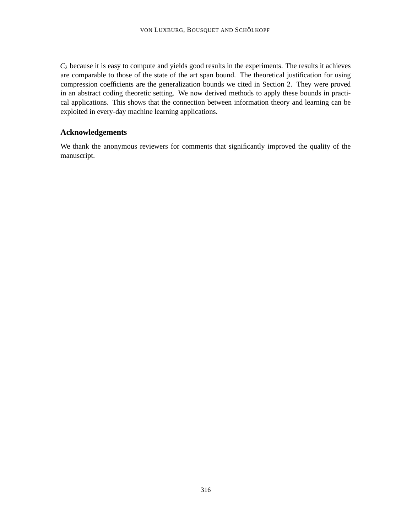*C*<sup>2</sup> because it is easy to compute and yields good results in the experiments. The results it achieves are comparable to those of the state of the art span bound. The theoretical justification for using compression coefficients are the generalization bounds we cited in Section 2. They were proved in an abstract coding theoretic setting. We now derived methods to apply these bounds in practical applications. This shows that the connection between information theory and learning can be exploited in every-day machine learning applications.

## **Acknowledgements**

We thank the anonymous reviewers for comments that significantly improved the quality of the manuscript.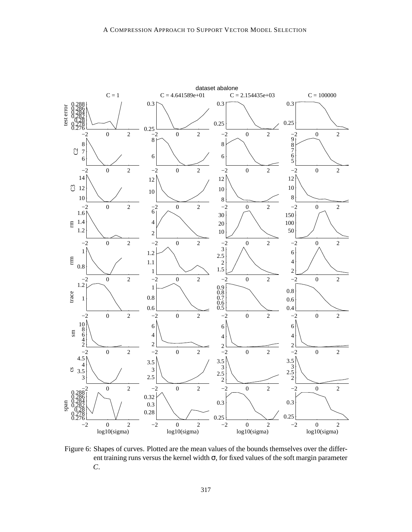

Figure 6: Shapes of curves. Plotted are the mean values of the bounds themselves over the different training runs versus the kernel width  $\sigma$ , for fixed values of the soft margin parameter *C*.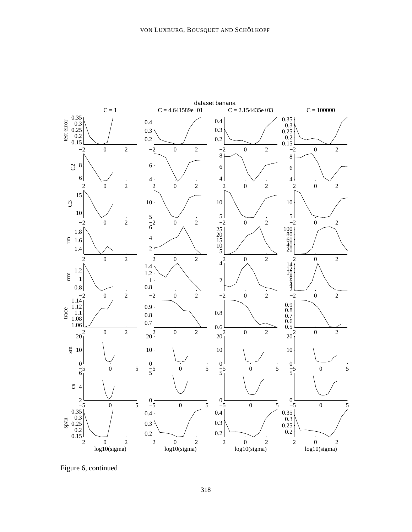

Figure 6, continued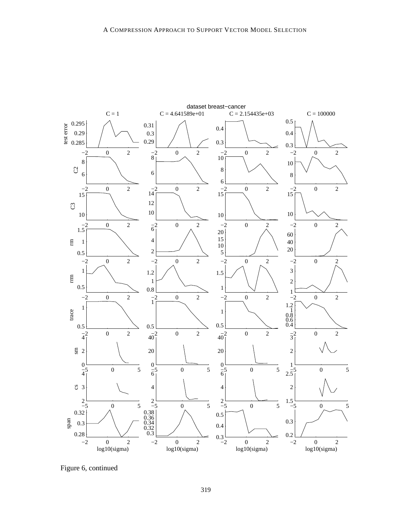

Figure 6, continued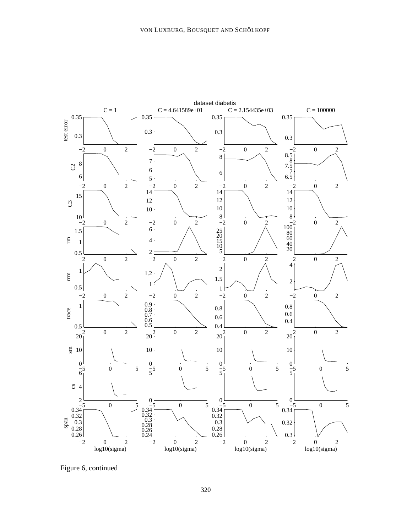

Figure 6, continued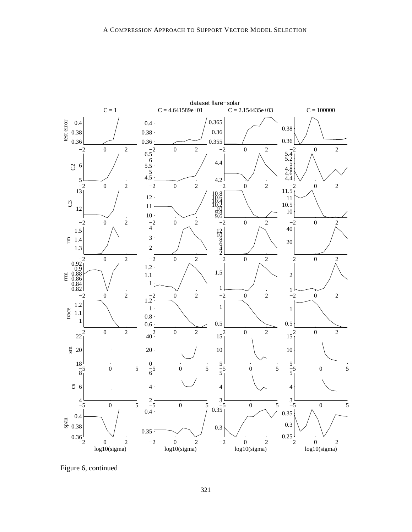

Figure 6, continued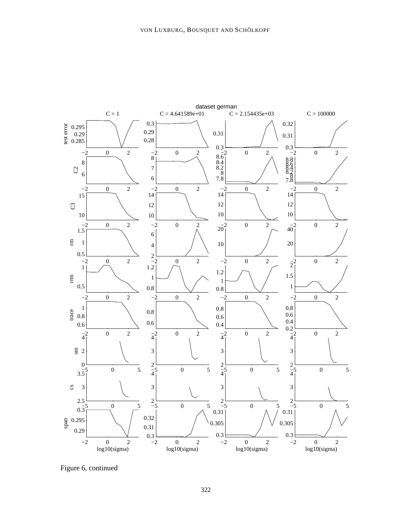

Figure 6, continued